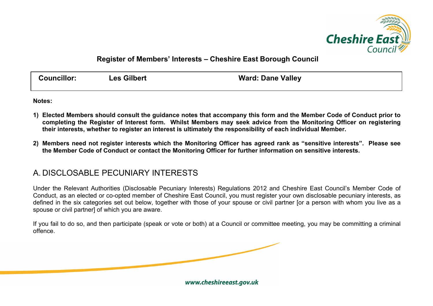

## **Register of Members' Interests – Cheshire East Borough Council**

| <b>Councillor:</b> | <b>Les Gilbert</b> | <b>Ward: Dane Valley</b> |
|--------------------|--------------------|--------------------------|
|                    |                    |                          |

**Notes:**

- **1) Elected Members should consult the guidance notes that accompany this form and the Member Code of Conduct prior to completing the Register of Interest form. Whilst Members may seek advice from the Monitoring Officer on registering their interests, whether to register an interest is ultimately the responsibility of each individual Member.**
- **2) Members need not register interests which the Monitoring Officer has agreed rank as "sensitive interests". Please see the Member Code of Conduct or contact the Monitoring Officer for further information on sensitive interests.**

## A. DISCLOSABLE PECUNIARY INTERESTS

Under the Relevant Authorities (Disclosable Pecuniary Interests) Regulations 2012 and Cheshire East Council's Member Code of Conduct, as an elected or co-opted member of Cheshire East Council, you must register your own disclosable pecuniary interests, as defined in the six categories set out below, together with those of your spouse or civil partner [or a person with whom you live as a spouse or civil partner] of which you are aware.

If you fail to do so, and then participate (speak or vote or both) at a Council or committee meeting, you may be committing a criminal offence.

www.cheshireeast.gov.uk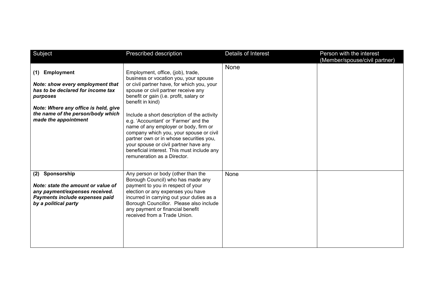| Subject                                                                                                                                                                                                            | Prescribed description                                                                                                                                                                                                                                                                                                                                                                                                                                                                                                                                                      | Details of Interest | Person with the interest<br>(Member/spouse/civil partner) |
|--------------------------------------------------------------------------------------------------------------------------------------------------------------------------------------------------------------------|-----------------------------------------------------------------------------------------------------------------------------------------------------------------------------------------------------------------------------------------------------------------------------------------------------------------------------------------------------------------------------------------------------------------------------------------------------------------------------------------------------------------------------------------------------------------------------|---------------------|-----------------------------------------------------------|
| <b>Employment</b><br>(1)<br>Note: show every employment that<br>has to be declared for income tax<br>purposes<br>Note: Where any office is held, give<br>the name of the person/body which<br>made the appointment | Employment, office, (job), trade,<br>business or vocation you, your spouse<br>or civil partner have, for which you, your<br>spouse or civil partner receive any<br>benefit or gain (i.e. profit, salary or<br>benefit in kind)<br>Include a short description of the activity<br>e.g. 'Accountant' or 'Farmer' and the<br>name of any employer or body, firm or<br>company which you, your spouse or civil<br>partner own or in whose securities you,<br>your spouse or civil partner have any<br>beneficial interest. This must include any<br>remuneration as a Director. | None                |                                                           |
| (2) Sponsorship<br>Note: state the amount or value of<br>any payment/expenses received.<br>Payments include expenses paid<br>by a political party                                                                  | Any person or body (other than the<br>Borough Council) who has made any<br>payment to you in respect of your<br>election or any expenses you have<br>incurred in carrying out your duties as a<br>Borough Councillor. Please also include<br>any payment or financial benefit<br>received from a Trade Union.                                                                                                                                                                                                                                                               | None                |                                                           |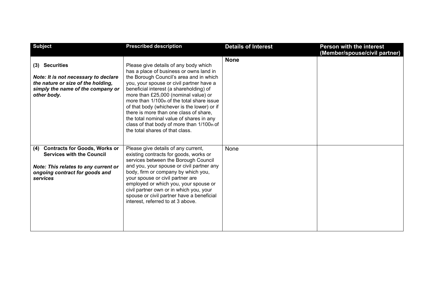| <b>Subject</b>                                                                                                                                                        | <b>Prescribed description</b>                                                                                                                                                                                                                                                                                                                                                                                                                                                                                                  | <b>Details of Interest</b> | <b>Person with the interest</b><br>(Member/spouse/civil partner) |
|-----------------------------------------------------------------------------------------------------------------------------------------------------------------------|--------------------------------------------------------------------------------------------------------------------------------------------------------------------------------------------------------------------------------------------------------------------------------------------------------------------------------------------------------------------------------------------------------------------------------------------------------------------------------------------------------------------------------|----------------------------|------------------------------------------------------------------|
| (3) Securities<br>Note: It is not necessary to declare<br>the nature or size of the holding,<br>simply the name of the company or<br>other body.                      | Please give details of any body which<br>has a place of business or owns land in<br>the Borough Council's area and in which<br>you, your spouse or civil partner have a<br>beneficial interest (a shareholding) of<br>more than £25,000 (nominal value) or<br>more than 1/100th of the total share issue<br>of that body (whichever is the lower) or if<br>there is more than one class of share,<br>the total nominal value of shares in any<br>class of that body of more than 1/100th of<br>the total shares of that class. | <b>None</b>                |                                                                  |
| <b>Contracts for Goods, Works or</b><br>(4)<br><b>Services with the Council</b><br>Note: This relates to any current or<br>ongoing contract for goods and<br>services | Please give details of any current,<br>existing contracts for goods, works or<br>services between the Borough Council<br>and you, your spouse or civil partner any<br>body, firm or company by which you,<br>your spouse or civil partner are<br>employed or which you, your spouse or<br>civil partner own or in which you, your<br>spouse or civil partner have a beneficial<br>interest, referred to at 3 above.                                                                                                            | None                       |                                                                  |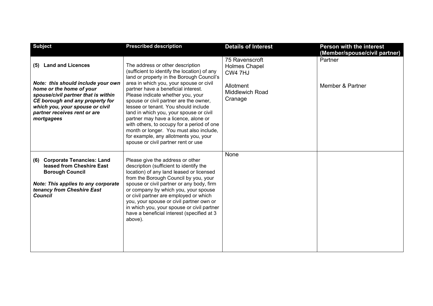| <b>Subject</b>                                                                                                                                                                                                                                               | <b>Prescribed description</b>                                                                                                                                                                                                                                                                                                                                                                                                                                                                                                                               | <b>Details of Interest</b>                                                                          | <b>Person with the interest</b><br>(Member/spouse/civil partner) |
|--------------------------------------------------------------------------------------------------------------------------------------------------------------------------------------------------------------------------------------------------------------|-------------------------------------------------------------------------------------------------------------------------------------------------------------------------------------------------------------------------------------------------------------------------------------------------------------------------------------------------------------------------------------------------------------------------------------------------------------------------------------------------------------------------------------------------------------|-----------------------------------------------------------------------------------------------------|------------------------------------------------------------------|
| <b>Land and Licences</b><br>(5)<br>Note: this should include your own<br>home or the home of your<br>spouse/civil partner that is within<br>CE borough and any property for<br>which you, your spouse or civil<br>partner receives rent or are<br>mortgagees | The address or other description<br>(sufficient to identify the location) of any<br>land or property in the Borough Council's<br>area in which you, your spouse or civil<br>partner have a beneficial interest.<br>Please indicate whether you, your<br>spouse or civil partner are the owner,<br>lessee or tenant. You should include<br>land in which you, your spouse or civil<br>partner may have a licence, alone or<br>with others, to occupy for a period of one<br>month or longer. You must also include,<br>for example, any allotments you, your | 75 Ravenscroft<br><b>Holmes Chapel</b><br>CW4 7HJ<br>Allotment<br><b>Middlewich Road</b><br>Cranage | Partner<br>Member & Partner                                      |
| <b>Corporate Tenancies: Land</b><br>(6)<br>leased from Cheshire East<br><b>Borough Council</b><br><b>Note: This applies to any corporate</b><br>tenancy from Cheshire East<br><b>Council</b>                                                                 | spouse or civil partner rent or use<br>Please give the address or other<br>description (sufficient to identify the<br>location) of any land leased or licensed<br>from the Borough Council by you, your<br>spouse or civil partner or any body, firm<br>or company by which you, your spouse<br>or civil partner are employed or which<br>you, your spouse or civil partner own or<br>in which you, your spouse or civil partner<br>have a beneficial interest (specified at 3<br>above).                                                                   | None                                                                                                |                                                                  |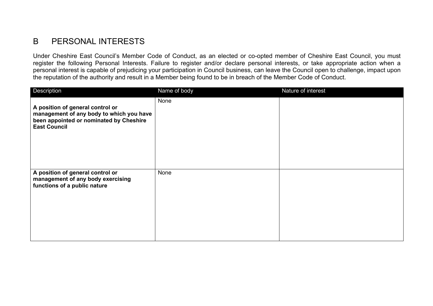## B PERSONAL INTERESTS

Under Cheshire East Council's Member Code of Conduct, as an elected or co-opted member of Cheshire East Council, you must register the following Personal Interests. Failure to register and/or declare personal interests, or take appropriate action when a personal interest is capable of prejudicing your participation in Council business, can leave the Council open to challenge, impact upon the reputation of the authority and result in a Member being found to be in breach of the Member Code of Conduct.

| Description                                                                                                                                    | Name of body | Nature of interest |
|------------------------------------------------------------------------------------------------------------------------------------------------|--------------|--------------------|
| A position of general control or<br>management of any body to which you have<br>been appointed or nominated by Cheshire<br><b>East Council</b> | None         |                    |
| A position of general control or<br>management of any body exercising<br>functions of a public nature                                          | None         |                    |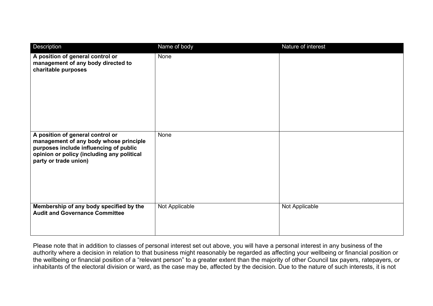| Description                                                                                                                                                                                 | Name of body   | Nature of interest |
|---------------------------------------------------------------------------------------------------------------------------------------------------------------------------------------------|----------------|--------------------|
| A position of general control or<br>management of any body directed to<br>charitable purposes                                                                                               | None           |                    |
| A position of general control or<br>management of any body whose principle<br>purposes include influencing of public<br>opinion or policy (including any political<br>party or trade union) | None           |                    |
| Membership of any body specified by the<br><b>Audit and Governance Committee</b>                                                                                                            | Not Applicable | Not Applicable     |

Please note that in addition to classes of personal interest set out above, you will have a personal interest in any business of the authority where a decision in relation to that business might reasonably be regarded as affecting your wellbeing or financial position or the wellbeing or financial position of a "relevant person" to a greater extent than the majority of other Council tax payers, ratepayers, or inhabitants of the electoral division or ward, as the case may be, affected by the decision. Due to the nature of such interests, it is not